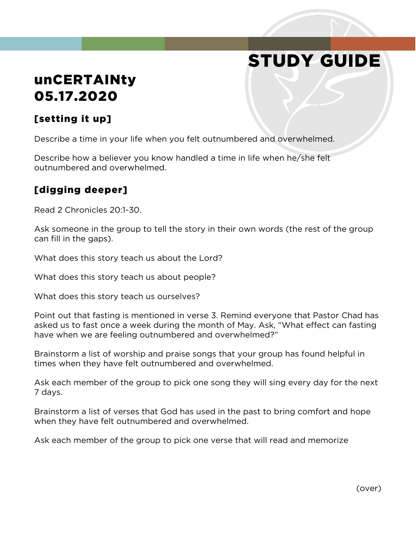# STUDY GUIDE

## unCERTAINty 05.17.2020

### [setting it up]

Describe a time in your life when you felt outnumbered and overwhelmed.

Describe how a believer you know handled a time in life when he/she felt outnumbered and overwhelmed.

#### [digging deeper]

Read 2 Chronicles 20:1-30.

Ask someone in the group to tell the story in their own words (the rest of the group can fill in the gaps).

What does this story teach us about the Lord?

What does this story teach us about people?

What does this story teach us ourselves?

Point out that fasting is mentioned in verse 3. Remind everyone that Pastor Chad has asked us to fast once a week during the month of May. Ask, "What effect can fasting have when we are feeling outnumbered and overwhelmed?"

Brainstorm a list of worship and praise songs that your group has found helpful in times when they have felt outnumbered and overwhelmed.

Ask each member of the group to pick one song they will sing every day for the next 7 days.

Brainstorm a list of verses that God has used in the past to bring comfort and hope when they have felt outnumbered and overwhelmed.

Ask each member of the group to pick one verse that will read and memorize

(over)